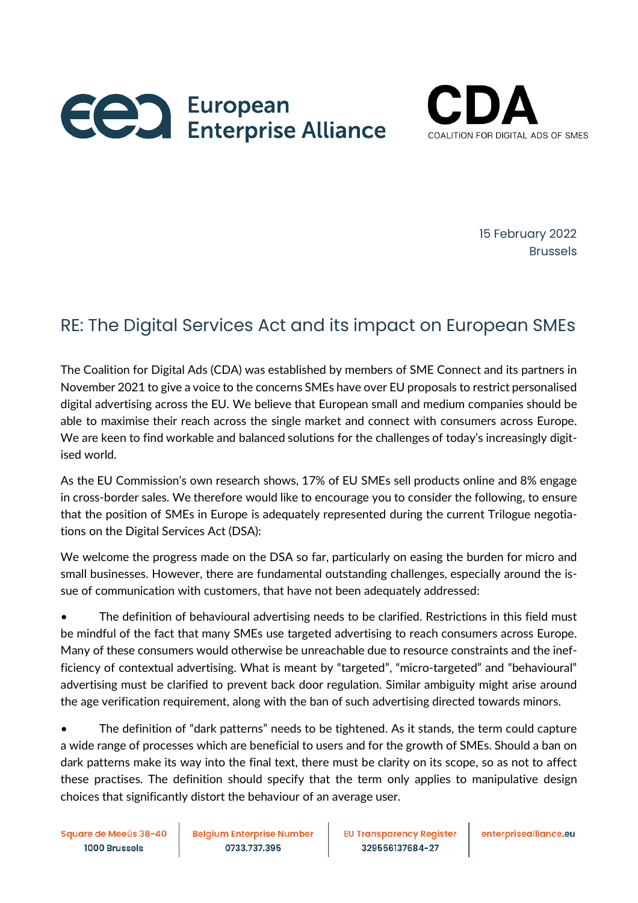



15 February 2022 Brussels

## RE: The Digital Services Act and its impact on European SMEs

The Coalition for Digital Ads (CDA) was established by members of SME Connect and its partners in November 2021 to give a voice to the concerns SMEs have over EU proposals to restrict personalised digital advertising across the EU. We believe that European small and medium companies should be able to maximise their reach across the single market and connect with consumers across Europe. We are keen to find workable and balanced solutions for the challenges of today's increasingly digitised world.

As the EU Commission's own research shows, 17% of EU SMEs sell products online and 8% engage in cross-border sales. We therefore would like to encourage you to consider the following, to ensure that the position of SMEs in Europe is adequately represented during the current Trilogue negotiations on the Digital Services Act (DSA):

We welcome the progress made on the DSA so far, particularly on easing the burden for micro and small businesses. However, there are fundamental outstanding challenges, especially around the issue of communication with customers, that have not been adequately addressed:

• The definition of behavioural advertising needs to be clarified. Restrictions in this field must be mindful of the fact that many SMEs use targeted advertising to reach consumers across Europe. Many of these consumers would otherwise be unreachable due to resource constraints and the inefficiency of contextual advertising. What is meant by "targeted", "micro-targeted" and "behavioural" advertising must be clarified to prevent back door regulation. Similar ambiguity might arise around the age verification requirement, along with the ban of such advertising directed towards minors.

• The definition of "dark patterns" needs to be tightened. As it stands, the term could capture a wide range of processes which are beneficial to users and for the growth of SMEs. Should a ban on dark patterns make its way into the final text, there must be clarity on its scope, so as not to affect these practises. The definition should specify that the term only applies to manipulative design choices that significantly distort the behaviour of an average user.

Square de Meeûs 38-40 1000 Brussels

**Belgium Enterprise Number** 0733.737.395

**EU Transparency Register** 329556137684-27

enterprisealliance.eu